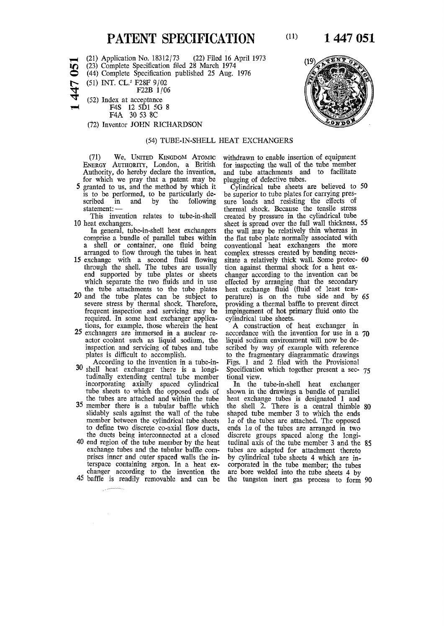## **PATENT SPECIFICATION** (11)

(21) Application No. 18312/73 (22) Filed 16 April 1973

(23) Complete Specification filed 28 March 1974

O (44) Complete Specification published 25 Aug. 1976

(51) INT. CL.<sup>2</sup> F28F 9/02

F<sub>22</sub>B 1/06

^ (52) Index at acceptance

F4S 12 5D1 5G 8

F4A 30 53 8C

(72) Inventor JOHN RICHARDSON

## (54) TUBE-IN-SHELL HEAT EXCHANGERS

**ENERGY AUTHORITY**, London, a British for inspecting the wall of the tube member Authority, do hereby declare the invention, and tube attachments and to facilitate for which we pray that a patent may be plugging of defective tubes.<br>5 granted to us, and the method by which it Cylindrical tube sheets

is to be performed, to be particularly described in and by the following scribed in and by the following sure loads and resisting the effects of statement: — thermal shock. Because the tensile stress

- comprise a bundle of parallel tubes within the flat tube plate normally associated with a shell or container, one fluid being conventional heat exchangers the more arranged to flow through the tubes in heat complex stresses created by bending necesarranged to flow through the tubes in heat
- 15 exchange with a second fluid flowing<br>through the shell. The tubes are usually<br>end supported by tube plates or sheets end supported by tube plates or sheets changer according to the invention can be which separate the two fluids and in use effected by arranging that the secondary
- the tube attachments to the tube plates 20 and the tube plates can be subject to frequent inspection and servicing may be impingement of hot prequired. In some heat exchanger applica- cylindrical tube sheets. required. In some heat exchanger applica- cylindrical tube sheets.<br>tions, for example, those wherein the heat A construction of heat exchanger in
- 25 exchangers are immersed in a nuclear re- accordance with the invention for use in a actor coolant such as liquid sodium, the liquid sodium environment will now be deactor coolant such as liquid sodium, the inspection and servicing of tubes and tube inspection and servicing of tubes and tube scribed by way of example with reference plates is difficult to accomplish. <br> The tragmentary diagrammatic drawings
- tudinally extending central tube member tional view. incorporating axially spaced cylindrical In the tube-in-shell heat exchanger tube sheets to which the opposed ends of shown in the drawings a bundle of parallel
- **35** member there is a tubular baffle which the shell 2. There is a central thimble **80**  slidably seals against the wall of the tube shaped tube member 3 to which the ends member between the cylindrical tube sheets *la* of the tubes are attached. The opposed to define two discrete co-axial flow ducts, ends *la* of the tubes are arranged in two
- **40** end region of the tube member by the heat tudinal axis of the tube member **3** and the **85**  exchange tubes and the tubular baffle com- tubes are adapted for attachment thereto prises inner and outer spaced walls the in- by cylindrical tube sheets **4** which are interspace containing argon. In a heat ex- corporated in the tube member; the tubes changer according to the invention the are bore welded into the tube sheets 4 by
- 

**(71)** We, **UNITED KINGDOM ATOMIC** withdrawn to enable insertion of equipment

 $\tilde{C}$  grand to 50 be superior to tube plates for carrying presatement: —<br>This invention relates to tube-in-shell created by pressure in the cylindrical tube This invention relates to tube-in-shell created by pressure in the cylindrical tube 10 heat exchangers.<br>10 heat exchangers. **10** heat exchangers. sheet is spread over the full wall thickness, **55**  In general, tube-in-shell heat exchangers the wall may be relatively thin whereas in **15** exchange with a second fluid flowing sitate a relatively thick wall. Some protec- **60**  effected by arranging that the secondary the tube attachments to the tube plates heat exchange fluid of least tem-<br>and the tube plates can be subject to perature) is on the tube side and by 65<br>severe stress by thermal shock. Therefore, providing a thermal baffle providing a thermal baffle to prevent direct<br>impingement of hot primary fluid onto the

tions, for example, those wherein the heat A construction of heat exchanger in exchangers are immersed in a nuclear re-<br>accordance with the invention for use in a 70 ates is difficult to accomplish. to the fragmentary diagrammatic drawings According to the invention in a tube-in-<br>Figs. 1 and 2 filed with the Provisional According to the invention in a tube-in-<br>30 shell heat exchanger there is a longi-<br>Specification which together present a sec-Specification which together present a sec-  $75$ 

the tubes are attached and within the tube heat exchange tubes is designated 1 and the ducts being interconnected at a closed discrete groups spaced along the longi-**45** baffle is readily removable and can be the tungsten inert gas process to form **90** 



**1) 1449 122**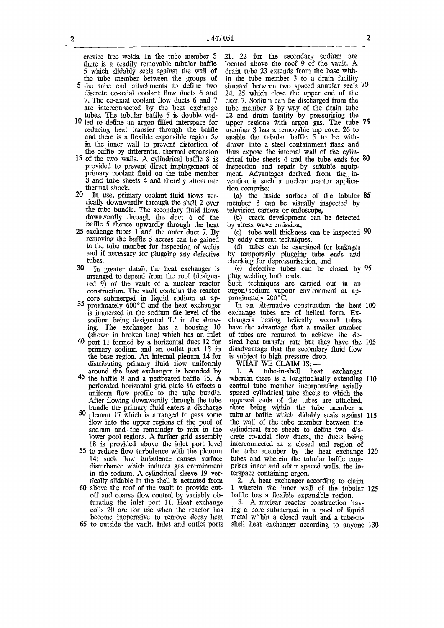crevice free welds. In the tube member 3 there is a readily removable tubular baffle 5 which slidably seals against the wall of the tube member between the groups of

- 5 the tube end attachments to define two discrete co-axial coolant flow ducts 6 and 7. The co-axial coolant flow ducts 6 and 7 are interconnected by the heat exchange tubes. The tubular baffle 5 is double wal-
- 10 led to define an argon filled interspace for reducing heat transfer through the baffle and there is a flexible expansible region *5a*  in the inner wall to prevent distortion of the baffle by differential thermal expansion
- 15 of the two walls. A cylindrical baffle 8 is provided to prevent direct impingement of primary coolant fluid on the tube member 3 and tube sheets 4 and thereby attentuate thermal shock.
- 20 In use, primary coolant fluid flows vertically downwardly through the shell 2 over the tube bundle. The secondary fluid flows downwardly through the duct 6 of the baffle 5 thence upwardly through the heat
- 25 exchange tubes 1 and the outer duct 7. By removing the baffle 5 access can be gained to the tube member for inspection of welds and if necessary for plugging any defective tubes.
- 30 In greater detail, the heat exchanger is arranged to depend from the roof (designated 9) of the vault of a nuclear reactor construction. The vault contains the reactor core submerged in liquid sodium at ap-
- $35$  proximately  $600^{\circ}$ C and the heat exchanger is immersed in the sodium the level of the sodium being designated 'L' in the drawing. The exchanger has a housing 10 (shown in broken line) which has an inlet
- 40 port 11 formed by a horizontal duct 12 for primary sodium and an outlet port 13 in the base region. An internal plenum 14 for distributing primary fluid flow uniformly around the heat exchanger is hounded by
- 43 the baffle 8 and a perforated baffle 15. A perforated horizontal grid plate 16 effects a uniform flow profile to the tube bundle. After flowing downwardly through the tube bundle the primary fluid enters a discharge
- 50 plenum 17 which is arranged to pass some flow into the upper regions of the pool of sodium and the remainder to mix in the lower pool regions. A further grid assembly 18 is provided above the inlet port level 55 to reduce flow turbulence with the plenum
- to requee how turbulence with the premum disturbance which induces gas entrainment in the sodium. A cylindrical sleeve 19 ver $t_{\text{total}}$  is sourced in the shell is actuated from EXECUTE THE REAL TRANSMITTED IN A CONSIDER THE CONSIDERATION CONTACT THE CONSIDERATION OF THE VALUE OF THE VALUE OF THE CONSTRUCTION OF THE CONSTRUCTION OF THE CONSTRUCTION OF THE CONSTRUCTION OF THE CONSTRUCTION OF THE CO
- above the root of the valit to provide cuton and coarse now control by variably obturating the inlet port 11. Heat exchange  $\cosh 20$  are for use when the reactor has become inoperative to remove decay heat 65 to outside the vault. Inlet and outlet ports

21, 22 for the secondary sodium are located above the roof 9 of the vault. A drain tube 23 extends from the base within the tube member 3 to a drain facility situated between two spaced annular seals 70 24, 25 which close the upper end of the duct 7. Sodium can be discharged from the tube member 3 by way of the drain tube 23 and drain facility by pressurising the upper regions with argon gas. The tube 75 member 3 has a removable top cover 26 to enable the tubular baffle 5 to be withdrawn into a steel containment flask and thus expose the internal wall of the cylindrical tube sheets 4 and the tube ends for 80 inspection and repair by suitable equipment. Advantages derived from the invention in such a nuclear reactor application comprise:

(a) the inside surface of the tubular 85 member 3 can be visually inspected by television camera or endoscope,

(b) crack development can be detected by stress wave emission,

(c) tube wall thickness can be inspected 90 by eddy current techniques,

(d) tubes can be examined for leakages by temporarily plugging tube ends and checking for depressurisation, and

(e) defective tubes can be closed by 95 plug welding both ends. Such techniques are carried out in an

argon/sodium vapour environment at approximately 200°C.

In an alternative construction the heat 100 exchange tubes are of helical form. Exchangers having helically wound tubes have the advantage that a smaller number of tubes are required to achieve the desired heat transfer rate but they have the 105 disadvantage that the secondary fluid flow is subject to high pressure drop.

WHAT WE CLAIM IS: —<br>1. A tube-in-shell heat tube-in-shell heat exchanger wherein there is a longitudinally extending 110 central tube member incorporating axially spaced cylindrical tube sheets to which the opposed ends of the tubes are attached, there being within the tube member a tubular baffle which slidably seals against 115 the wall of the tube member between the cylindrical tube sheets to define two discrete co-axial flow ducts, the ducts being interconnected at a closed end region of the tube member by the heat exchange 120 tubes and wherein the tubular baffle comprises inner and outer spaced walls, the interspace containing argon.

2. A heat exchanger according to claim 1 wherein the inner wall of the tubular 125 baffle has a flexible expansible region.

3. A nuclear reactor construction having a core submerged in a pool of liquid metal within a closed vault and a tube-inshell heat exchanger according to anyone 130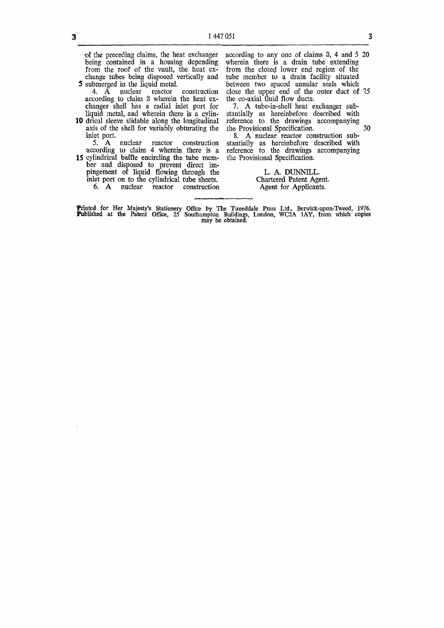of the preceding claims, the heat exchanger being contained in a housing depending from the roof of the vault, the heat exchange tubes being disposed vertically and **5** submerged in the liquid metal.

4. A nuclear reactor construction according to claim 3 wherein the heat exchanger shell has a radial inlet port for liquid metal, and wherein there is a cylin-

10 drical sleeve slidable along the longitudinal axis of the shell for variably obturating the inlet port.

5. A nuclear reactor construction according to claim 4 wherein there is a

15 cylindrical baffle encircling the tube member and disposed to prevent direct impingement of liquid flowing through the inlet port on to the cylindrical tube sheets. 6. A nuclear reactor construction

according to any one of claims 3, 4 and 5 20 wherein there is a drain tube extending from the closed lower end region of the tube member to a drain facility situated between two spaced annular seals which close the upper end of the outer duct of 25 the co-axial fluid flow ducts.

7. A tube-in-shell heat exchanger substantially as hereinbefore described with reference to the drawings accompanying the Provisional Specification.  $\frac{1}{2}$  30

8. A nuclear reactor construction substantially as hereinbefore described with reference to the drawings accompanying the Provisional Specification.

## L. A. DUNNILL. Chartered Patent Agent. Agent for Applicants.

Printed for Her Majesty's Stationery Office by The Tweeddale Press Ltd., Berwick-upon-Tweed, 1976. Published at the Patent Office, 25 Southampton Buildings, London, WC2A 1AY, from which copies may be obtained.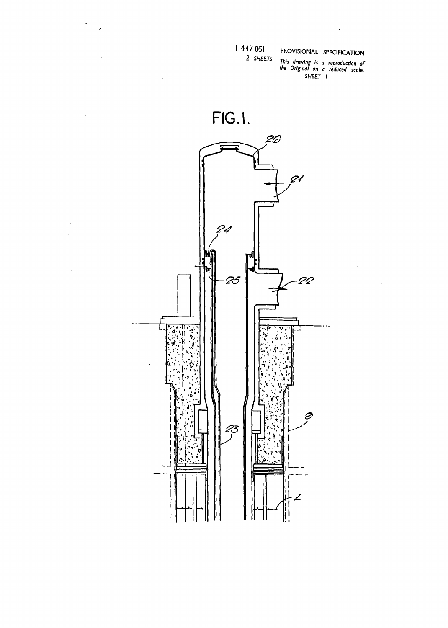| 447 051

 $\label{eq:2} \frac{1}{2} \sum_{i=1}^n \frac{1}{2} \sum_{j=1}^n \frac{1}{2} \sum_{j=1}^n \frac{1}{2} \sum_{j=1}^n \frac{1}{2} \sum_{j=1}^n \frac{1}{2} \sum_{j=1}^n \frac{1}{2} \sum_{j=1}^n \frac{1}{2} \sum_{j=1}^n \frac{1}{2} \sum_{j=1}^n \frac{1}{2} \sum_{j=1}^n \frac{1}{2} \sum_{j=1}^n \frac{1}{2} \sum_{j=1}^n \frac{1}{2} \sum_{j=1}^n \frac{1}{$ 

 $\sim$ 

 $\ddot{\phantom{a}}$ 

 $\bar{z}$  $\ddot{\phantom{a}}$ 

J.

 $\bar{\mathcal{A}}$ 

 $\frac{1}{2}$ 

 $\bar{z}$ 

 $\ddot{\phantom{a}}$ 

 $\bar{z}$ 

 $\bar{z}$ 

2 SHEETS This drawing is a reproduction of<br>the Original on a reduced scale.<br>SHEET |